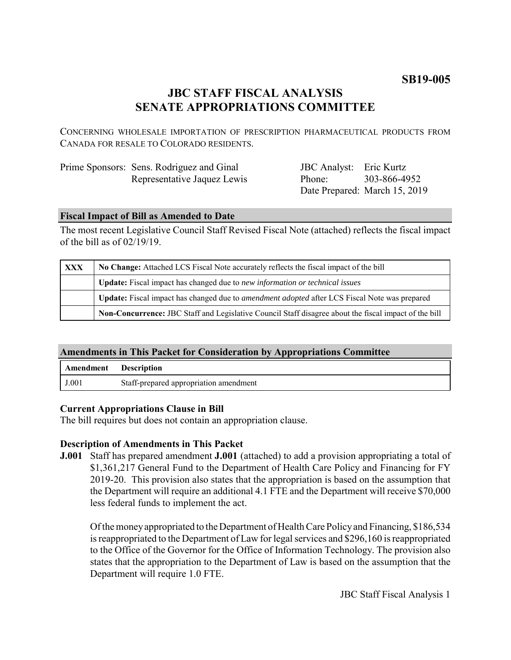# **SB19-005**

# **JBC STAFF FISCAL ANALYSIS SENATE APPROPRIATIONS COMMITTEE**

CONCERNING WHOLESALE IMPORTATION OF PRESCRIPTION PHARMACEUTICAL PRODUCTS FROM CANADA FOR RESALE TO COLORADO RESIDENTS.

| Prime Sponsors: Sens. Rodriguez and Ginal |
|-------------------------------------------|
| Representative Jaquez Lewis               |

JBC Analyst: Eric Kurtz Phone: Date Prepared: March 15, 2019 303-866-4952

### **Fiscal Impact of Bill as Amended to Date**

The most recent Legislative Council Staff Revised Fiscal Note (attached) reflects the fiscal impact of the bill as of 02/19/19.

| <b>XXX</b> | No Change: Attached LCS Fiscal Note accurately reflects the fiscal impact of the bill                       |  |
|------------|-------------------------------------------------------------------------------------------------------------|--|
|            | <b>Update:</b> Fiscal impact has changed due to new information or technical issues                         |  |
|            | <b>Update:</b> Fiscal impact has changed due to <i>amendment adopted</i> after LCS Fiscal Note was prepared |  |
|            | Non-Concurrence: JBC Staff and Legislative Council Staff disagree about the fiscal impact of the bill       |  |

#### **Amendments in This Packet for Consideration by Appropriations Committee**

| Amendment | <b>Description</b>                     |
|-----------|----------------------------------------|
| J.001     | Staff-prepared appropriation amendment |

## **Current Appropriations Clause in Bill**

The bill requires but does not contain an appropriation clause.

#### **Description of Amendments in This Packet**

**J.001** Staff has prepared amendment **J.001** (attached) to add a provision appropriating a total of \$1,361,217 General Fund to the Department of Health Care Policy and Financing for FY 2019-20. This provision also states that the appropriation is based on the assumption that the Department will require an additional 4.1 FTE and the Department will receive \$70,000 less federal funds to implement the act.

Of the money appropriated to the Department of Health Care Policy and Financing, \$186,534 is reappropriated to the Department of Law for legal services and \$296,160 is reappropriated to the Office of the Governor for the Office of Information Technology. The provision also states that the appropriation to the Department of Law is based on the assumption that the Department will require 1.0 FTE.